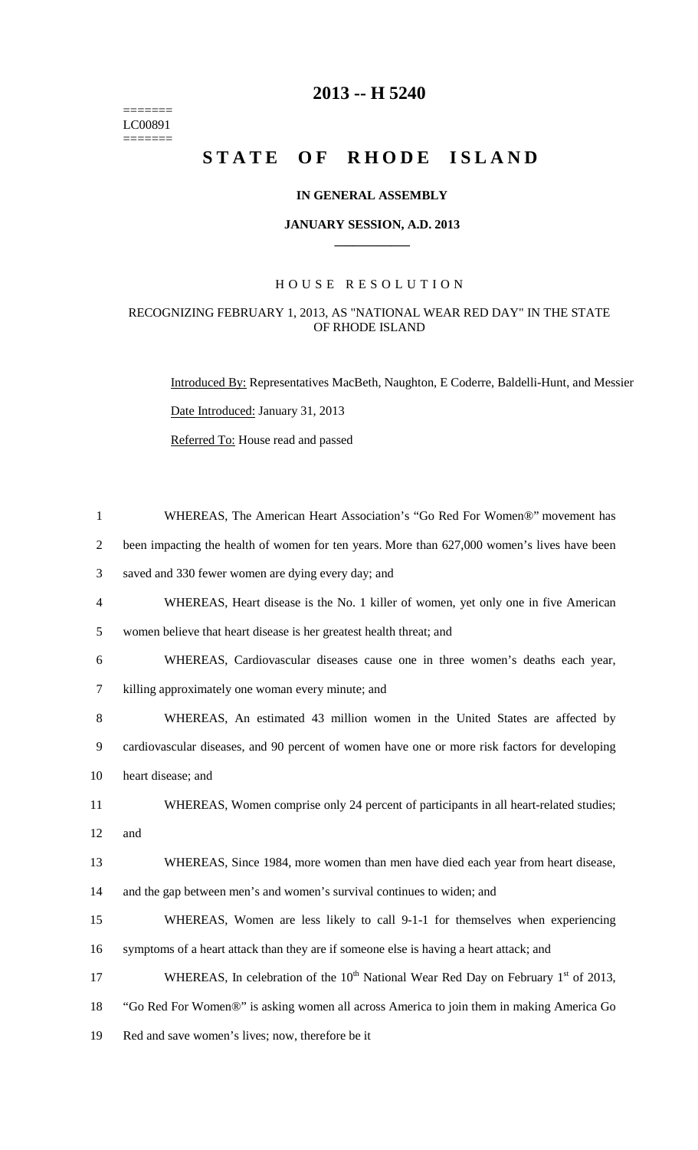$=$ LC00891  $=$ 

## **2013 -- H 5240**

# STATE OF RHODE ISLAND

#### **IN GENERAL ASSEMBLY**

#### **JANUARY SESSION, A.D. 2013 \_\_\_\_\_\_\_\_\_\_\_\_**

#### H O U S E R E S O L U T I O N

### RECOGNIZING FEBRUARY 1, 2013, AS "NATIONAL WEAR RED DAY" IN THE STATE OF RHODE ISLAND

Introduced By: Representatives MacBeth, Naughton, E Coderre, Baldelli-Hunt, and Messier Date Introduced: January 31, 2013 Referred To: House read and passed

| $\mathbf{1}$   | WHEREAS, The American Heart Association's "Go Red For Women®" movement has                                 |
|----------------|------------------------------------------------------------------------------------------------------------|
| $\overline{c}$ | been impacting the health of women for ten years. More than 627,000 women's lives have been                |
| 3              | saved and 330 fewer women are dying every day; and                                                         |
| $\overline{4}$ | WHEREAS, Heart disease is the No. 1 killer of women, yet only one in five American                         |
| 5              | women believe that heart disease is her greatest health threat; and                                        |
| 6              | WHEREAS, Cardiovascular diseases cause one in three women's deaths each year,                              |
| $\tau$         | killing approximately one woman every minute; and                                                          |
| 8              | WHEREAS, An estimated 43 million women in the United States are affected by                                |
| 9              | cardiovascular diseases, and 90 percent of women have one or more risk factors for developing              |
| 10             | heart disease; and                                                                                         |
| 11             | WHEREAS, Women comprise only 24 percent of participants in all heart-related studies;                      |
| 12             | and                                                                                                        |
| 13             | WHEREAS, Since 1984, more women than men have died each year from heart disease,                           |
| 14             | and the gap between men's and women's survival continues to widen; and                                     |
| 15             | WHEREAS, Women are less likely to call 9-1-1 for themselves when experiencing                              |
| 16             | symptoms of a heart attack than they are if someone else is having a heart attack; and                     |
| 17             | WHEREAS, In celebration of the 10 <sup>th</sup> National Wear Red Day on February 1 <sup>st</sup> of 2013, |
| 18             | "Go Red For Women®" is asking women all across America to join them in making America Go                   |
| 19             | Red and save women's lives; now, therefore be it                                                           |